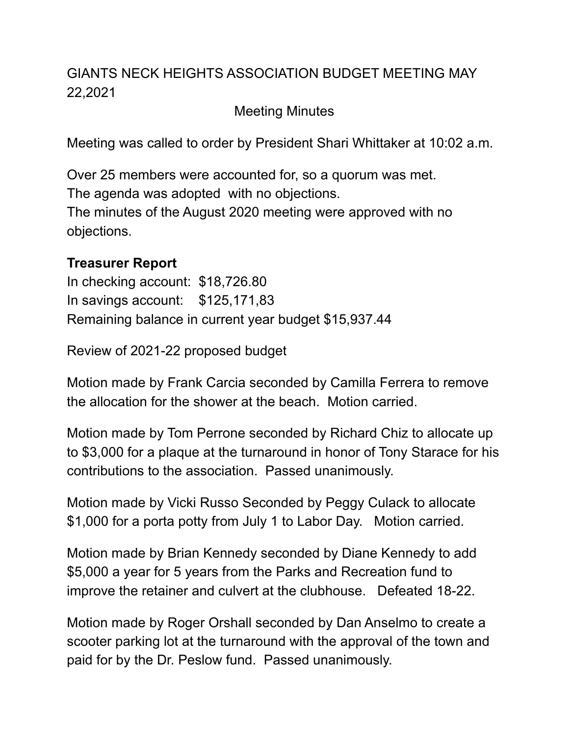## GIANTS NECK HEIGHTS ASSOCIATION BUDGET MEETING MAY 22,2021

Meeting Minutes

Meeting was called to order by President Shari Whittaker at 10:02 a.m.

Over 25 members were accounted for, so a quorum was met. The agenda was adopted with no objections. The minutes of the August 2020 meeting were approved with no objections.

## **Treasurer Report**

In checking account: \$18,726.80 In savings account: \$125,171,83 Remaining balance in current year budget \$15,937.44

Review of 2021-22 proposed budget

Motion made by Frank Carcia seconded by Camilla Ferrera to remove the allocation for the shower at the beach. Motion carried.

Motion made by Tom Perrone seconded by Richard Chiz to allocate up to \$3,000 for a plaque at the turnaround in honor of Tony Starace for his contributions to the association. Passed unanimously.

Motion made by Vicki Russo Seconded by Peggy Culack to allocate \$1,000 for a porta potty from July 1 to Labor Day. Motion carried.

Motion made by Brian Kennedy seconded by Diane Kennedy to add \$5,000 a year for 5 years from the Parks and Recreation fund to improve the retainer and culvert at the clubhouse. Defeated 18-22.

Motion made by Roger Orshall seconded by Dan Anselmo to create a scooter parking lot at the turnaround with the approval of the town and paid for by the Dr. Peslow fund. Passed unanimously.